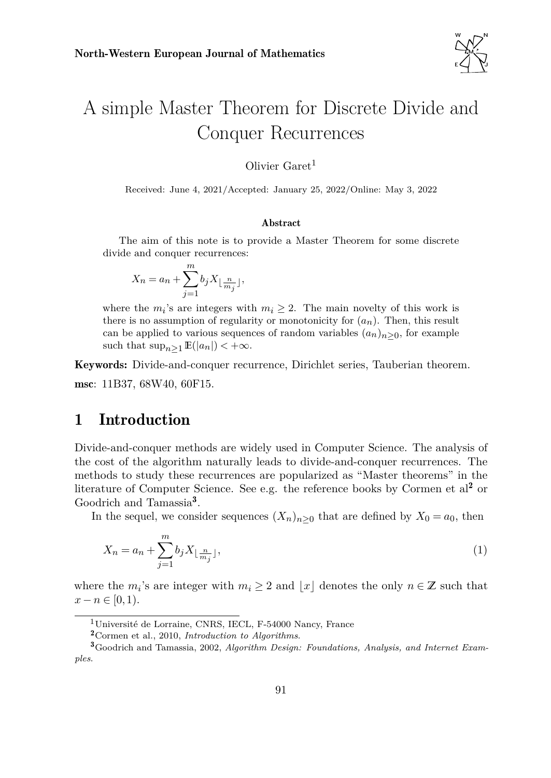

# <span id="page-0-3"></span>A simple Master Theorem for Discrete Divide and Conquer Recurrences

Olivier  $\text{Garet}^1$ 

Received: June 4, 2021/Accepted: January 25, 2022/Online: May 3, 2022

#### Abstract

The aim of this note is to provide a Master Theorem for some discrete divide and conquer recurrences:

$$
X_n = a_n + \sum_{j=1}^m b_j X_{\lfloor \frac{n}{m_j} \rfloor},
$$

where the  $m_i$ 's are integers with  $m_i \geq 2$ . The main novelty of this work is there is no assumption of regularity or monotonicity for  $(a_n)$ . Then, this result can be applied to various sequences of random variables  $(a_n)_{n\geq 0}$ , for example such that  $\sup_{n>1}$   $\mathbb{E}(|a_n|) < +\infty$ .

Keywords: Divide-and-conquer recurrence, Dirichlet series, Tauberian theorem. msc: 11B37, 68W40, 60F15.

### <span id="page-0-4"></span>1 Introduction

Divide-and-conquer methods are widely used in Computer Science. The analysis of the cost of the algorithm naturally leads to divide-and-conquer recurrences. The methods to study these recurrences are popularized as "Master theorems" in the literature of Computer Science. See e.g. the reference books by Cormen et  $al^2$  $al^2$  or Goodrich and Tamassia<sup>[3](#page-0-1)</sup>.

In the sequel, we consider sequences  $(X_n)_{n\geq 0}$  that are defined by  $X_0 = a_0$ , then

<span id="page-0-2"></span>
$$
X_n = a_n + \sum_{j=1}^m b_j X_{\lfloor \frac{n}{m_j} \rfloor},\tag{1}
$$

where the  $m_i$ 's are integer with  $m_i \geq 2$  and  $\lfloor x \rfloor$  denotes the only  $n \in \mathbb{Z}$  such that  $x - n \in [0, 1)$ .

<sup>1</sup>Université de Lorraine, CNRS, IECL, F-54000 Nancy, France

<span id="page-0-1"></span><span id="page-0-0"></span><sup>2</sup>[Cormen et al., 2010,](#page-9-0) *Introduction to Algorithms*.

<sup>3</sup>[Goodrich and Tamassia, 2002,](#page-10-0) *Algorithm Design: Foundations, Analysis, and Internet Examples*.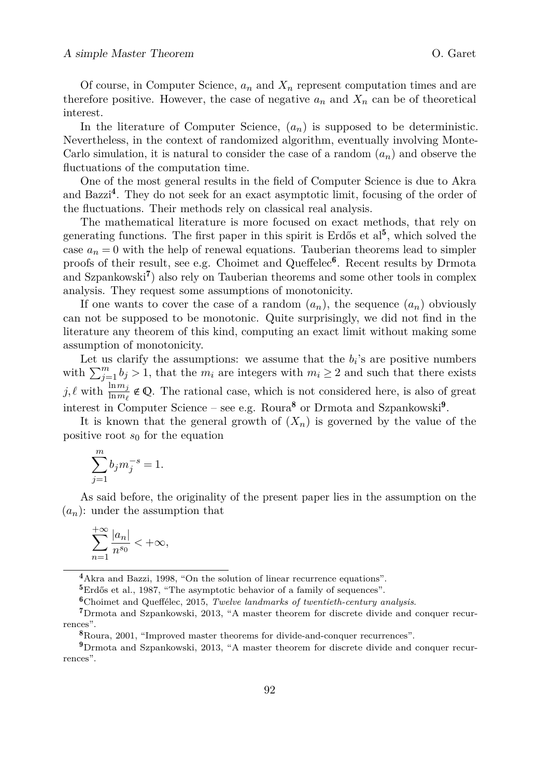Of course, in Computer Science,  $a_n$  and  $X_n$  represent computation times and are therefore positive. However, the case of negative  $a_n$  and  $X_n$  can be of theoretical interest.

In the literature of Computer Science,  $(a_n)$  is supposed to be deterministic. Nevertheless, in the context of randomized algorithm, eventually involving Monte-Carlo simulation, it is natural to consider the case of a random  $(a_n)$  and observe the fluctuations of the computation time.

One of the most general results in the field of Computer Science is due to Akra and Bazzi<sup>[4](#page-1-0)</sup>. They do not seek for an exact asymptotic limit, focusing of the order of the fluctuations. Their methods rely on classical real analysis.

The mathematical literature is more focused on exact methods, that rely on generating functions. The first paper in this spirit is Erdős et  $al<sup>5</sup>$  $al<sup>5</sup>$  $al<sup>5</sup>$ , which solved the case  $a_n = 0$  with the help of renewal equations. Tauberian theorems lead to simpler proofs of their result, see e.g. Choimet and Queffelec<sup>[6](#page-1-2)</sup>. Recent results by Drmota and Szpankowski<sup>[7](#page-1-3)</sup>) also rely on Tauberian theorems and some other tools in complex analysis. They request some assumptions of monotonicity.

If one wants to cover the case of a random  $(a_n)$ , the sequence  $(a_n)$  obviously can not be supposed to be monotonic. Quite surprisingly, we did not find in the literature any theorem of this kind, computing an exact limit without making some assumption of monotonicity.

Let us clarify the assumptions: we assume that the  $b_i$ 's are positive numbers with  $\sum_{j=1}^{m} b_j > 1$ , that the  $m_i$  are integers with  $m_i \geq 2$  and such that there exists  $j, \ell$  with  $\frac{\ln m_j}{\ln m_\ell} \notin \mathbb{Q}$ . The rational case, which is not considered here, is also of great interest in Computer Science – see e.g. Roura<sup>[8](#page-1-4)</sup> or Drmota and Szpankowski<sup>[9](#page-1-5)</sup>.

It is known that the general growth of  $(X_n)$  is governed by the value of the positive root  $s_0$  for the equation

$$
\sum_{j=1}^m b_j m_j^{-s} = 1.
$$

As said before, the originality of the present paper lies in the assumption on the  $(a_n)$ : under the assumption that

$$
\sum_{n=1}^{+\infty}\frac{|a_n|}{n^{s_0}}<+\infty,
$$

<span id="page-1-0"></span><sup>4</sup>[Akra and Bazzi, 1998,](#page-9-1) "On the solution of linear recurrence equations".

<span id="page-1-1"></span><sup>5</sup>[Erdős et al., 1987,](#page-9-2) "The asymptotic behavior of a family of sequences".

<span id="page-1-3"></span><span id="page-1-2"></span><sup>6</sup>[Choimet and Queffélec, 2015,](#page-9-3) *Twelve landmarks of twentieth-century analysis*.

<sup>7</sup>[Drmota and Szpankowski, 2013,](#page-9-4) "A master theorem for discrete divide and conquer recurrences".

<span id="page-1-5"></span><span id="page-1-4"></span><sup>8</sup>[Roura, 2001,](#page-10-1) "Improved master theorems for divide-and-conquer recurrences".

<sup>9</sup>[Drmota and Szpankowski, 2013,](#page-9-4) "A master theorem for discrete divide and conquer recurrences".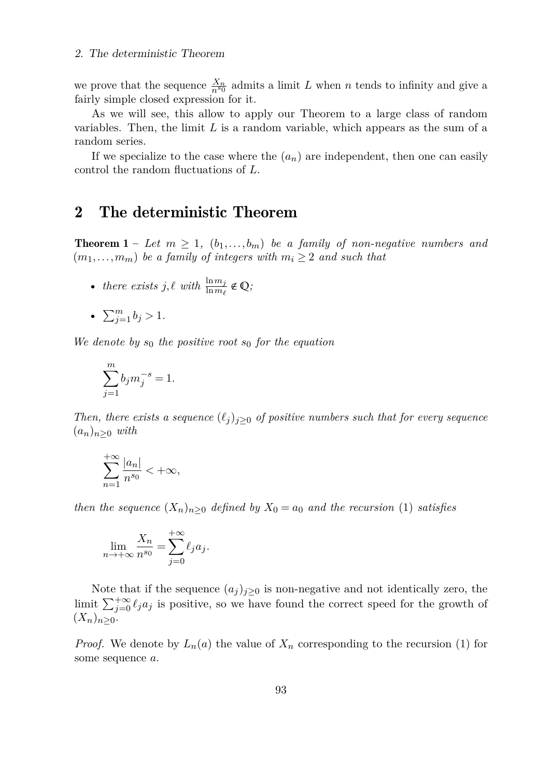we prove that the sequence  $\frac{X_n}{n^{s_0}}$  admits a limit *L* when *n* tends to infinity and give a fairly simple closed expression for it.

As we will see, this allow to apply our Theorem to a large class of random variables. Then, the limit *L* is a random variable, which appears as the sum of a random series.

If we specialize to the case where the  $(a_n)$  are independent, then one can easily control the random fluctuations of *L*.

### <span id="page-2-0"></span>2 The deterministic Theorem

**Theorem 1** – Let  $m \geq 1$ ,  $(b_1, \ldots, b_m)$  be a family of non-negative numbers and  $(m_1, \ldots, m_m)$  *be a family of integers with*  $m_i \geq 2$  *and such that* 

• *there exists*  $j, \ell$  *with*  $\frac{\ln m_j}{\ln m_\ell} \notin \mathbb{Q}$ ;

•  $\sum_{j=1}^{m} b_j > 1$ .

*We denote by*  $s_0$  *the positive root*  $s_0$  *for the equation* 

$$
\sum_{j=1}^{m} b_j m_j^{-s} = 1.
$$

*Then, there exists a sequence*  $(\ell_i)_{i>0}$  *of positive numbers such that for every sequence* (*an*)*n*≥<sup>0</sup> *with*

$$
\sum_{n=1}^{+\infty} \frac{|a_n|}{n^{s_0}} < +\infty,
$$

*then the sequence*  $(X_n)_{n\geq 0}$  *defined by*  $X_0 = a_0$  *and the recursion* [\(1\)](#page-0-2) *satisfies* 

$$
\lim_{n \to +\infty} \frac{X_n}{n^{s_0}} = \sum_{j=0}^{+\infty} \ell_j a_j.
$$

Note that if the sequence  $(a_j)_{j\geq 0}$  is non-negative and not identically zero, the limit  $\sum_{j=0}^{+\infty} \ell_j a_j$  is positive, so we have found the correct speed for the growth of  $(X_n)_{n>0}$ .

*Proof.* We denote by  $L_n(a)$  the value of  $X_n$  corresponding to the recursion [\(1\)](#page-0-2) for some sequence *a*.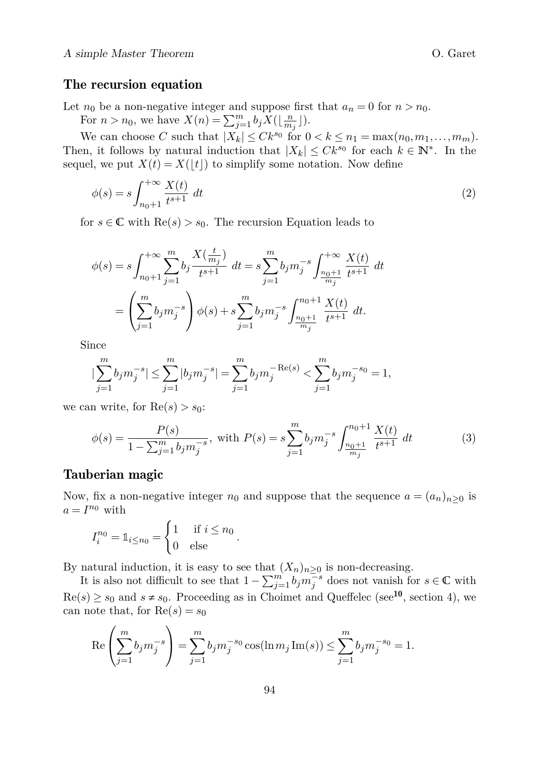### <span id="page-3-2"></span>The recursion equation

Let  $n_0$  be a non-negative integer and suppose first that  $a_n = 0$  for  $n > n_0$ .

For  $n > n_0$ , we have  $X(n) = \sum_{j=1}^{m} b_j X(\lfloor \frac{n}{m_j} \rfloor)$ .

We can choose *C* such that  $|X_k| \leq Ck^{s_0}$  for  $0 < k \leq n_1 = \max(n_0, m_1, \ldots, m_m)$ . Then, it follows by natural induction that  $|X_k| \leq C k^{s_0}$  for each  $k \in \mathbb{N}^*$ . In the sequel, we put  $X(t) = X(\lfloor t \rfloor)$  to simplify some notation. Now define

<span id="page-3-0"></span>
$$
\phi(s) = s \int_{n_0+1}^{+\infty} \frac{X(t)}{t^{s+1}} dt
$$
\n
$$
(2)
$$

for  $s \in \mathbb{C}$  with  $\text{Re}(s) > s_0$ . The recursion Equation leads to

$$
\phi(s) = s \int_{n_0+1}^{+\infty} \sum_{j=1}^{m} b_j \frac{X(\frac{t}{m_j})}{t^{s+1}} dt = s \sum_{j=1}^{m} b_j m_j^{-s} \int_{\frac{n_0+1}{m_j}}^{+\infty} \frac{X(t)}{t^{s+1}} dt
$$

$$
= \left( \sum_{j=1}^{m} b_j m_j^{-s} \right) \phi(s) + s \sum_{j=1}^{m} b_j m_j^{-s} \int_{\frac{n_0+1}{m_j}}^{n_0+1} \frac{X(t)}{t^{s+1}} dt.
$$

Since

$$
|\sum_{j=1}^{m} b_j m_j^{-s}| \leq \sum_{j=1}^{m} |b_j m_j^{-s}| = \sum_{j=1}^{m} b_j m_j^{-\text{Re}(s)} < \sum_{j=1}^{m} b_j m_j^{-s_0} = 1,
$$

we can write, for  $Re(s) > s_0$ :

$$
\phi(s) = \frac{P(s)}{1 - \sum_{j=1}^{m} b_j m_j^{-s}}, \text{ with } P(s) = s \sum_{j=1}^{m} b_j m_j^{-s} \int_{\frac{n_0 + 1}{m_j}}^{n_0 + 1} \frac{X(t)}{t^{s+1}} dt \tag{3}
$$

### <span id="page-3-3"></span>Tauberian magic

Now, fix a non-negative integer  $n_0$  and suppose that the sequence  $a = (a_n)_{n \geq 0}$  is  $a = I^{n_0}$  with

$$
I_i^{n_0} = \mathbb{1}_{i \le n_0} = \begin{cases} 1 & \text{if } i \le n_0 \\ 0 & \text{else} \end{cases}
$$

By natural induction, it is easy to see that  $(X_n)_{n\geq 0}$  is non-decreasing.

<span id="page-3-1"></span>*.*

It is also not difficult to see that  $1 - \sum_{j=1}^{m} b_j m_j^{-s}$  does not vanish for  $s \in \mathbb{C}$  with  $\text{Re}(s) \geq s_0$  and  $s \neq s_0$ . Proceeding as in Choimet and Queffelec (see<sup>[10](#page-0-3)</sup>, section 4), we can note that, for  $Re(s) = s_0$ 

$$
\operatorname{Re}\left(\sum_{j=1}^{m} b_j m_j^{-s}\right) = \sum_{j=1}^{m} b_j m_j^{-s_0} \cos(\ln m_j \operatorname{Im}(s)) \le \sum_{j=1}^{m} b_j m_j^{-s_0} = 1.
$$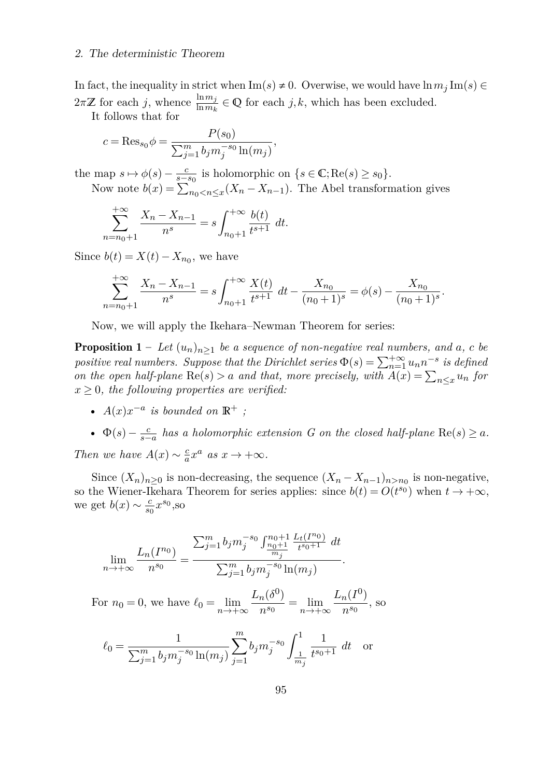#### 2. The deterministic Theorem

In fact, the inequality in strict when  $\text{Im}(s) \neq 0$ . Overwise, we would have  $\ln m_j \text{Im}(s) \in$  $2\pi\mathbb{Z}$  for each *j*, whence  $\frac{\ln m_j}{\ln m_k} \in \mathbb{Q}$  for each *j*, *k*, which has been excluded.

It follows that for

$$
c = \text{Res}_{s_0} \phi = \frac{P(s_0)}{\sum_{j=1}^m b_j m_j^{-s_0} \ln(m_j)},
$$

the map  $s \mapsto \phi(s) - \frac{c}{s - s_0}$  is holomorphic on  $\{s \in \mathbb{C}; \text{Re}(s) \ge s_0\}.$ Now note  $b(x) = \sum_{n_0 < n \leq x} (X_n - X_{n-1})$ . The Abel transformation gives

$$
\sum_{n=n_0+1}^{+\infty} \frac{X_n - X_{n-1}}{n^s} = s \int_{n_0+1}^{+\infty} \frac{b(t)}{t^{s+1}} dt.
$$

Since  $b(t) = X(t) - X_{n_0}$ , we have

$$
\sum_{n=n_0+1}^{+\infty} \frac{X_n - X_{n-1}}{n^s} = s \int_{n_0+1}^{+\infty} \frac{X(t)}{t^{s+1}} dt - \frac{X_{n_0}}{(n_0+1)^s} = \phi(s) - \frac{X_{n_0}}{(n_0+1)^s}.
$$

Now, we will apply the Ikehara–Newman Theorem for series:

**Proposition 1** – Let  $(u_n)_{n>1}$  be a sequence of non-negative real numbers, and a, c be *positive real numbers. Suppose that the Dirichlet series*  $\Phi(s) = \sum_{n=1}^{+\infty} u_n n^{-s}$  *is defined on the open half-plane*  $\text{Re}(s) > a$  *and that, more precisely, with*  $A(x) = \sum_{n \leq x} u_n$  *for*  $x \geq 0$ , the following properties are verified:

- $A(x)x^{-a}$  *is bounded on*  $\mathbb{R}^+$ ;
- $\Phi(s) \frac{c}{s-a}$  has a holomorphic extension G on the closed half-plane  $\text{Re}(s) \geq a$ .

*Then we have*  $A(x) \sim \frac{c}{a}x^a$  *as*  $x \to +\infty$ *.* 

Since  $(X_n)_{n\geq 0}$  is non-decreasing, the sequence  $(X_n - X_{n-1})_{n>n_0}$  is non-negative, so the Wiener-Ikehara Theorem for series applies: since  $b(t) = O(t^{s_0})$  when  $t \to +\infty$ , we get  $b(x) \sim \frac{c}{s_0} x^{s_0}$ , so

$$
\lim_{n \to +\infty} \frac{L_n(I^{n_0})}{n^{s_0}} = \frac{\sum_{j=1}^m b_j m_j^{-s_0} \int_{\frac{n_0+1}{m_j}}^{n_0+1} \frac{L_t(I^{n_0})}{t^{s_0+1}} dt}{\sum_{j=1}^m b_j m_j^{-s_0} \ln(m_j)}.
$$

For  $n_0 = 0$ , we have  $\ell_0 = \lim_{n \to +\infty}$  $L_n(\delta^0)$  $\frac{n(\circ)}{n^{s_0}}$  =  $\lim_{n \to +\infty}$  $L_n(I^0)$  $\frac{n(1)}{n^{s_0}}$ , so

$$
\ell_0 = \frac{1}{\sum_{j=1}^m b_j m_j^{-s_0} \ln(m_j)} \sum_{j=1}^m b_j m_j^{-s_0} \int_{\frac{1}{m_j}}^1 \frac{1}{t^{s_0+1}} dt \quad \text{or}
$$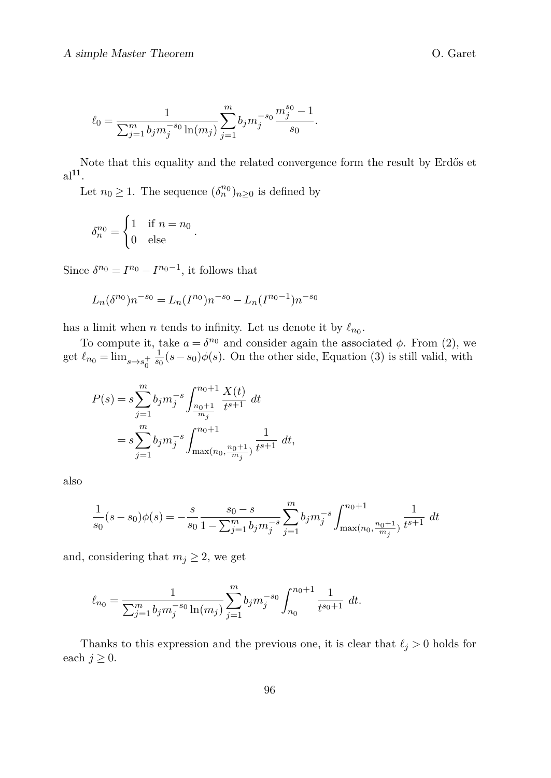$$
\ell_0 = \frac{1}{\sum_{j=1}^m b_j m_j^{-s_0} \ln(m_j)} \sum_{j=1}^m b_j m_j^{-s_0} \frac{m_j^{s_0} - 1}{s_0}.
$$

Note that this equality and the related convergence form the result by Erdős et  $a$ <sup>[11](#page-6-0)</sup>.

Let  $n_0 \geq 1$ . The sequence  $(\delta_n^{n_0})_{n \geq 0}$  is defined by

$$
\delta_n^{n_0} = \begin{cases} 1 & \text{if } n = n_0 \\ 0 & \text{else} \end{cases}.
$$

Since  $\delta^{n_0} = I^{n_0} - I^{n_0-1}$ , it follows that

$$
L_n(\delta^{n_0})n^{-s_0} = L_n(I^{n_0})n^{-s_0} - L_n(I^{n_0-1})n^{-s_0}
$$

has a limit when *n* tends to infinity. Let us denote it by  $\ell_{n_0}$ .

To compute it, take  $a = \delta^{n_0}$  and consider again the associated  $\phi$ . From [\(2\)](#page-3-0), we get  $\ell_{n_0} = \lim_{s \to s_0^+}$  $\frac{1}{s_0}(s-s_0)φ(s)$ . On the other side, Equation [\(3\)](#page-3-1) is still valid, with

$$
P(s) = s \sum_{j=1}^{m} b_j m_j^{-s} \int_{\frac{n_0+1}{m_j}}^{n_0+1} \frac{X(t)}{t^{s+1}} dt
$$
  
=  $s \sum_{j=1}^{m} b_j m_j^{-s} \int_{\max(n_0, \frac{n_0+1}{m_j})}^{n_0+1} \frac{1}{t^{s+1}} dt$ ,

also

$$
\frac{1}{s_0}(s-s_0)\phi(s)=-\frac{s}{s_0}\frac{s_0-s}{1-\sum_{j=1}^m b_jm_j^{-s}}\sum_{j=1}^m b_jm_j^{-s}\int_{\max(n_0,\frac{n_0+1}{m_j})}^{n_0+1}\frac{1}{t^{s+1}}\ dt
$$

and, considering that  $m_j \geq 2$ , we get

$$
\ell_{n_0} = \frac{1}{\sum_{j=1}^m b_j m_j^{-s_0} \ln(m_j)} \sum_{j=1}^m b_j m_j^{-s_0} \int_{n_0}^{n_0+1} \frac{1}{t^{s_0+1}} dt.
$$

Thanks to this expression and the previous one, it is clear that  $\ell_j > 0$  holds for each  $j \geq 0$ .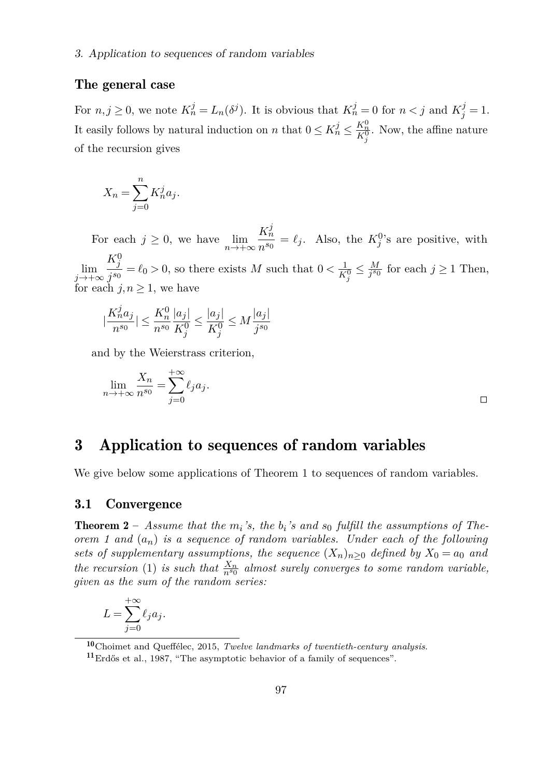### <span id="page-6-1"></span>The general case

For  $n, j \ge 0$ , we note  $K_n^j = L_n(\delta^j)$ . It is obvious that  $K_n^j = 0$  for  $n < j$  and  $K_j^j = 1$ . It easily follows by natural induction on *n* that  $0 \le K_n^j \le \frac{K_n^0}{K_j^0}$ . Now, the affine nature of the recursion gives

$$
X_n = \sum_{j=0}^n K_n^j a_j.
$$

For each  $j \geq 0$ , we have  $\lim_{n \to +\infty}$  $K_n^j$  $\frac{K_n}{n^{s_0}} = \ell_j$ . Also, the  $K_j^0$ 's are positive, with lim *j*→+∞  $K^0_j$  $\frac{1}{j^{s_0}} = \ell_0 > 0$ , so there exists *M* such that  $0 < \frac{1}{K_j^0} \leq \frac{M}{j^{s_0}}$  for each  $j \geq 1$  Then, for each  $j, n \geq 1$ , we have

$$
|\frac{K_n^ja_j}{n^{s_0}}|\leq \frac{K_n^0}{n^{s_0}}\frac{|a_j|}{K_j^0}\leq \frac{|a_j|}{K_j^0}\leq M\frac{|a_j|}{j^{s_0}}
$$

and by the Weierstrass criterion,

$$
\lim_{n \to +\infty} \frac{X_n}{n^{s_0}} = \sum_{j=0}^{+\infty} \ell_j a_j.
$$

### <span id="page-6-2"></span>3 Application to sequences of random variables

We give below some applications of Theorem 1 to sequences of random variables.

### <span id="page-6-3"></span>3.1 Convergence

*n*→+∞

**Theorem 2** – Assume that the  $m_i$ 's, the  $b_i$ 's and  $s_0$  fulfill the assumptions of The*orem 1 and* (*an*) *is a sequence of random variables. Under each of the following sets of supplementary assumptions, the sequence*  $(X_n)_{n>0}$  *defined by*  $X_0 = a_0$  *and the recursion* [\(1\)](#page-0-2) *is such that*  $\frac{X_n}{n^{s_0}}$  *almost surely converges to some random variable, given as the sum of the random series:*

$$
L = \sum_{j=0}^{+\infty} \ell_j a_j.
$$

<span id="page-6-0"></span><sup>10</sup>[Choimet and Queffélec, 2015,](#page-9-3) *Twelve landmarks of twentieth-century analysis*.

<sup>11</sup>[Erdős et al., 1987,](#page-9-2) "The asymptotic behavior of a family of sequences".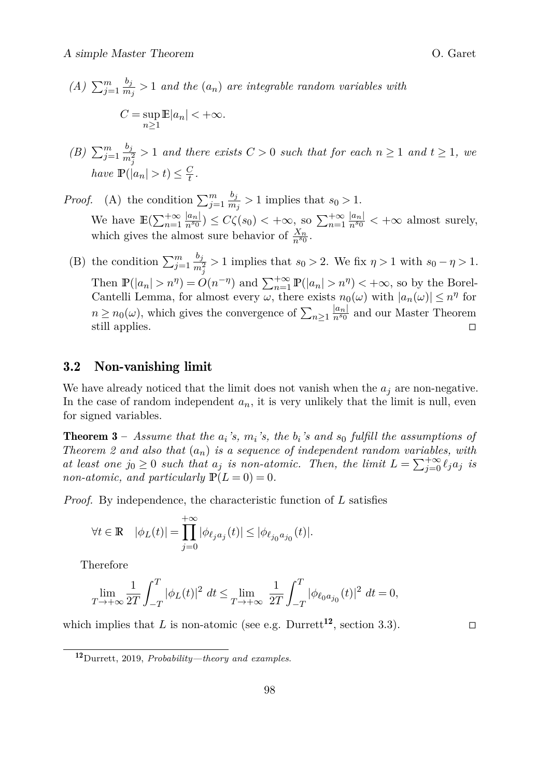- $(A) \sum_{j=1}^{m} \frac{b_j}{m}$  $\frac{\sigma_j}{m_j}$  > 1 *and the*  $(a_n)$  *are integrable random variables with*  $C = \sup$  $\sup_{n\geq 1} \mathbb{E}|a_n| < +\infty.$
- *(B)*  $\sum_{j=1}^{m} \frac{b_j}{m^2}$  $\frac{\partial f}{\partial n_j^2} > 1$  *and there exists*  $C > 0$  *such that for each*  $n \ge 1$  *and*  $t \ge 1$ *, we have*  $\mathbb{P}(|a_n| > t) \leq \frac{C}{t}$ .
- *Proof.* (A) the condition  $\sum_{j=1}^{m} \frac{b_j}{m}$  $\frac{\sigma_j}{m_j} > 1$  implies that  $s_0 > 1$ . We have  $\mathbb{E}(\sum_{n=1}^{+\infty} \frac{|a_n|}{n^{s_0}}) \leq C\zeta(s_0) < +\infty$ , so  $\sum_{n=1}^{+\infty} \frac{|a_n|}{n^{s_0}} < +\infty$  almost surely, which gives the almost sure behavior of  $\frac{X_n}{n^{s_0}}$ .
- (B) the condition  $\sum_{j=1}^{m} \frac{b_j}{m^2}$  $\frac{\sigma_j}{m_j^2} > 1$  implies that *s*<sub>0</sub> > 2. We fix  $\eta > 1$  with *s*<sub>0</sub> −  $\eta > 1$ . Then  $\mathbb{P}(|a_n| > n^{\eta}) = O(n^{-\eta})$  and  $\sum_{n=1}^{+\infty} \mathbb{P}(|a_n| > n^{\eta}) < +\infty$ , so by the Borel-Cantelli Lemma, for almost every  $\omega$ , there exists  $n_0(\omega)$  with  $|a_n(\omega)| \leq n^{\eta}$  for  $n \geq n_0(\omega)$ , which gives the convergence of  $\sum_{n\geq 1} \frac{|a_n|}{n^{s_0}}$  and our Master Theorem still applies. □

### <span id="page-7-1"></span>3.2 Non-vanishing limit

We have already noticed that the limit does not vanish when the  $a_j$  are non-negative. In the case of random independent  $a_n$ , it is very unlikely that the limit is null, even for signed variables.

Theorem 3 – *Assume that the a<sup>i</sup> 's, m<sup>i</sup> 's, the b<sup>i</sup> 's and s*<sup>0</sup> *fulfill the assumptions of Theorem 2 and also that* (*an*) *is a sequence of independent random variables, with at least one*  $j_0 \geq 0$  *such that*  $a_j$  *is non-atomic. Then, the limit*  $L = \sum_{j=0}^{+\infty} \ell_j a_j$  *is non-atomic, and particularly*  $\mathbb{P}(L=0) = 0$ *.* 

*Proof.* By independence, the characteristic function of *L* satisfies

$$
\forall t\in\mathbb{R}\quad |\phi_L(t)|=\prod_{j=0}^{+\infty}|\phi_{\ell_ja_j}(t)|\leq |\phi_{\ell_{j_0}a_{j_0}}(t)|.
$$

Therefore

$$
\lim_{T \to +\infty} \frac{1}{2T} \int_{-T}^{T} |\phi_L(t)|^2 \ dt \le \lim_{T \to +\infty} \frac{1}{2T} \int_{-T}^{T} |\phi_{\ell_0 a_{j_0}}(t)|^2 \ dt = 0,
$$

which implies that *L* is non-atomic (see e.g. Durrett<sup>[12](#page-7-0)</sup>, section 3.3). □

<span id="page-7-0"></span><sup>12</sup>[Durrett, 2019,](#page-9-5) *Probability—theory and examples*.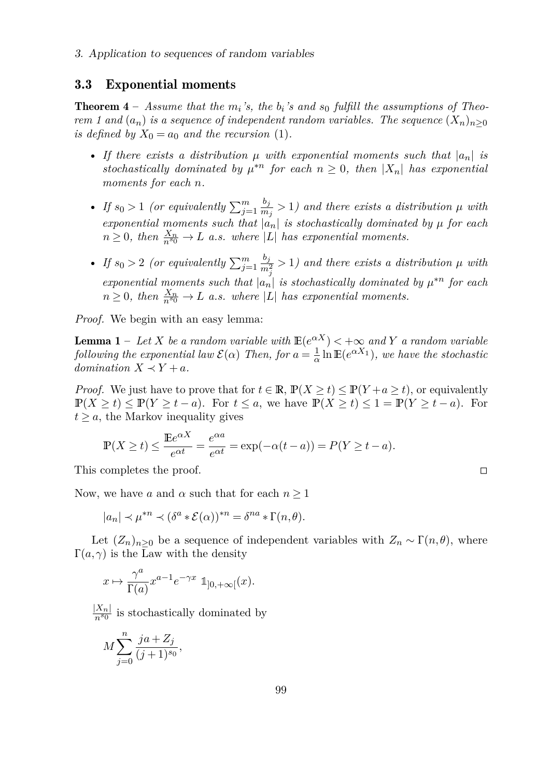#### <span id="page-8-0"></span>3.3 Exponential moments

**Theorem 4** – Assume that the  $m_i$ 's, the  $b_i$ 's and  $s_0$  fulfill the assumptions of Theo*rem 1 and*  $(a_n)$  *is a sequence of independent random variables. The sequence*  $(X_n)_{n>0}$ *is defined by*  $X_0 = a_0$  *and the recursion* [\(1\)](#page-0-2).

- If there exists a distribution  $\mu$  with exponential moments such that  $|a_n|$  is stochastically dominated by  $\mu^{*n}$  for each  $n \geq 0$ , then  $|X_n|$  has exponential *moments for each n.*
- *If*  $s_0 > 1$  (or equivalently  $\sum_{j=1}^m \frac{b_j}{m}$  $\frac{\sigma_j}{m_j} > 1$  and there exists a distribution  $\mu$  with *exponential moments such that*  $|a_n|$  *is stochastically dominated by*  $\mu$  *for each*  $n \geq 0$ , then  $\frac{X_n}{n^{s_0}} \to L$  *a.s.* where |L| has exponential moments.
- *If*  $s_0 > 2$  (or equivalently  $\sum_{j=1}^m \frac{b_j}{m^2}$  $\frac{\sigma_j}{m_j^2}$  > 1) and there exists a distribution  $\mu$  with *exponential moments such that*  $|a_n|$  *is stochastically dominated by*  $\mu^{*n}$  *for each*  $n \geq 0$ , then  $\frac{X_n}{n^{s_0}} \to L$  *a.s. where* |*L*| *has exponential moments.*

*Proof.* We begin with an easy lemma:

**Lemma 1** – Let *X* be a random variable with  $\mathbb{E}(e^{\alpha X}) < +\infty$  and *Y* a random variable *following the exponential law*  $\mathcal{E}(\alpha)$  *Then, for*  $a = \frac{1}{\alpha} \ln \mathbb{E}(e^{\alpha X_1})$ *, we have the stochastic domination*  $X \prec Y + a$ *.* 

*Proof.* We just have to prove that for  $t \in \mathbb{R}$ ,  $\mathbb{P}(X \ge t) \le \mathbb{P}(Y + a \ge t)$ , or equivalently  $\mathbb{P}(X \geq t) \leq \mathbb{P}(Y \geq t - a)$ . For  $t \leq a$ , we have  $\mathbb{P}(X \geq t) \leq 1 = \mathbb{P}(Y \geq t - a)$ . For  $t > a$ , the Markov inequality gives

$$
\mathbb{P}(X \ge t) \le \frac{\mathbb{E}e^{\alpha X}}{e^{\alpha t}} = \frac{e^{\alpha a}}{e^{\alpha t}} = \exp(-\alpha(t - a)) = P(Y \ge t - a).
$$

This completes the proof. □

Now, we have *a* and  $\alpha$  such that for each  $n \geq 1$ 

$$
|a_n| \prec \mu^{*n} \prec (\delta^a * \mathcal{E}(\alpha))^{*n} = \delta^{na} * \Gamma(n, \theta).
$$

Let  $(Z_n)_{n\geq 0}$  be a sequence of independent variables with  $Z_n \sim \Gamma(n, \theta)$ , where  $\Gamma(a,\gamma)$  is the Law with the density

$$
x\mapsto \frac{\gamma^a}{\Gamma(a)} x^{a-1} e^{-\gamma x} \ 1\!\!1_{]0,+\infty[}(x).
$$

 $\frac{|X_n|}{n^{s_0}}$  is stochastically dominated by

$$
M \sum_{j=0}^{n} \frac{ja + Z_j}{(j+1)^{s_0}},
$$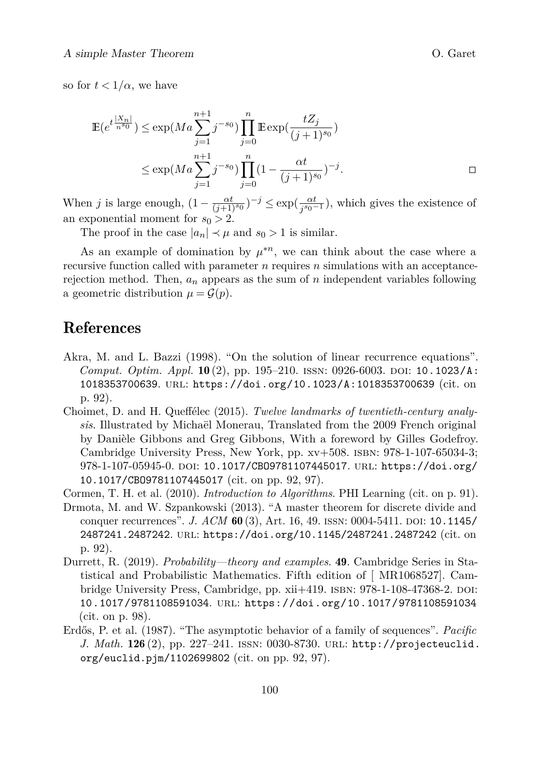so for  $t < 1/\alpha$ , we have

$$
\mathbb{E}(e^{t\frac{|X_n|}{n^{s_0}}}) \le \exp(Ma \sum_{j=1}^{n+1} j^{-s_0}) \prod_{j=0}^n \mathbb{E} \exp(\frac{tZ_j}{(j+1)^{s_0}})
$$
  

$$
\le \exp(Ma \sum_{j=1}^{n+1} j^{-s_0}) \prod_{j=0}^n (1 - \frac{\alpha t}{(j+1)^{s_0}})^{-j}.
$$

When *j* is large enough,  $(1 - \frac{\alpha t}{(j+1)^{s_0}})^{-j} \leq \exp(\frac{\alpha t}{j^{s_0}})$  $\frac{\alpha t}{j^{s_0-1}}$ ), which gives the existence of an exponential moment for  $s_0 > 2$ .

The proof in the case  $|a_n| \prec \mu$  and  $s_0 > 1$  is similar.

As an example of domination by  $\mu^{*n}$ , we can think about the case where a recursive function called with parameter *n* requires *n* simulations with an acceptancerejection method. Then,  $a_n$  appears as the sum of  $n$  independent variables following a geometric distribution  $\mu = \mathcal{G}(p)$ .

### <span id="page-9-6"></span>References

- <span id="page-9-1"></span>Akra, M. and L. Bazzi (1998). "On the solution of linear recurrence equations". *Comput. Optim. Appl.*  $10(2)$ , pp. 195–210. ISSN: 0926-6003. DOI: [10.1023/A:](https://doi.org/10.1023/A:1018353700639) [1018353700639](https://doi.org/10.1023/A:1018353700639). url: <https://doi.org/10.1023/A:1018353700639> (cit. on p. [92\)](#page-0-3).
- <span id="page-9-3"></span>Choimet, D. and H. Queffélec (2015). *Twelve landmarks of twentieth-century analysis*. Illustrated by Michaël Monerau, Translated from the 2009 French original by Danièle Gibbons and Greg Gibbons, With a foreword by Gilles Godefroy. Cambridge University Press, New York, pp. xv+508. isbn: 978-1-107-65034-3; 978-1-107-05945-0. DOI: 10.1017/CB09781107445017. URL: [https://doi.org/](https://doi.org/10.1017/CBO9781107445017) [10.1017/CBO9781107445017](https://doi.org/10.1017/CBO9781107445017) (cit. on pp. [92, 97\)](#page-0-3).
- <span id="page-9-0"></span>Cormen, T. H. et al. (2010). *Introduction to Algorithms*. PHI Learning (cit. on p. [91\)](#page-0-3).
- <span id="page-9-4"></span>Drmota, M. and W. Szpankowski (2013). "A master theorem for discrete divide and conquer recurrences". *J. ACM* 60 (3), Art. 16, 49. ISSN: 0004-5411. DOI: [10.1145/](https://doi.org/10.1145/2487241.2487242) [2487241.2487242](https://doi.org/10.1145/2487241.2487242). url: <https://doi.org/10.1145/2487241.2487242> (cit. on p. [92\)](#page-0-3).
- <span id="page-9-5"></span>Durrett, R. (2019). *Probability—theory and examples*. 49. Cambridge Series in Statistical and Probabilistic Mathematics. Fifth edition of [ MR1068527]. Cambridge University Press, Cambridge, pp. xii+419. ISBN: 978-1-108-47368-2. DOI: [10.1017/9781108591034](https://doi.org/10.1017/9781108591034). url: <https://doi.org/10.1017/9781108591034> (cit. on p. [98\)](#page-0-3).
- <span id="page-9-2"></span>Erdős, P. et al. (1987). "The asymptotic behavior of a family of sequences". *Pacific J. Math.* 126 (2), pp. 227-241. ISSN: 0030-8730. URL: [http://projecteuclid.](http://projecteuclid.org/euclid.pjm/1102699802) [org/euclid.pjm/1102699802](http://projecteuclid.org/euclid.pjm/1102699802) (cit. on pp. [92, 97\)](#page-0-3).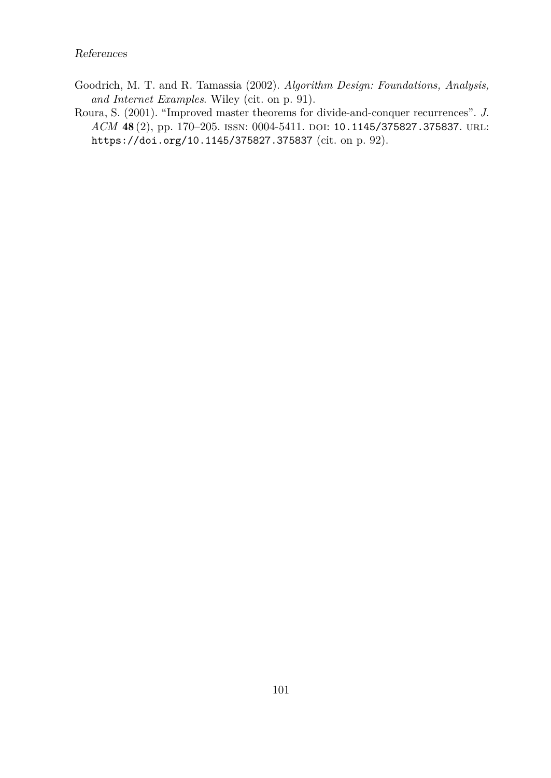- <span id="page-10-0"></span>Goodrich, M. T. and R. Tamassia (2002). *Algorithm Design: Foundations, Analysis, and Internet Examples*. Wiley (cit. on p. [91\)](#page-0-3).
- <span id="page-10-1"></span>Roura, S. (2001). "Improved master theorems for divide-and-conquer recurrences". *J. ACM* 48 (2), pp. 170–205. ISSN: 0004-5411. DOI: [10.1145/375827.375837](https://doi.org/10.1145/375827.375837). URL: <https://doi.org/10.1145/375827.375837> (cit. on p. [92\)](#page-0-3).